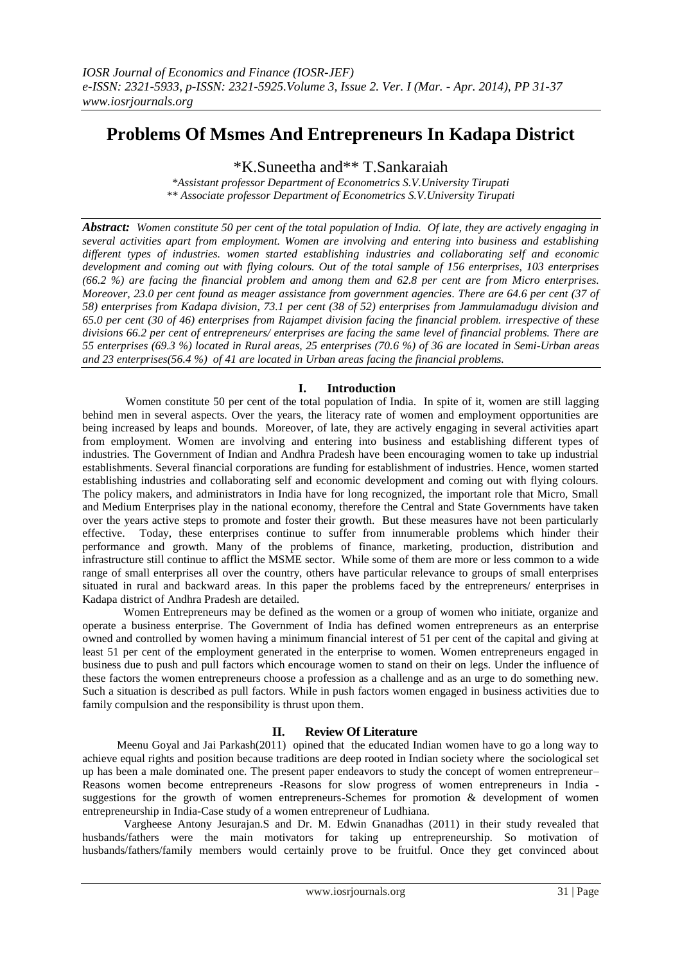# **Problems Of Msmes And Entrepreneurs In Kadapa District**

\*K.Suneetha and\*\* T.Sankaraiah

*\*Assistant professor Department of Econometrics S.V.University Tirupati \*\* Associate professor Department of Econometrics S.V.University Tirupati*

*Abstract: Women constitute 50 per cent of the total population of India. Of late, they are actively engaging in several activities apart from employment. Women are involving and entering into business and establishing different types of industries. women started establishing industries and collaborating self and economic development and coming out with flying colours. Out of the total sample of 156 enterprises, 103 enterprises (66.2 %) are facing the financial problem and among them and 62.8 per cent are from Micro enterprises. Moreover, 23.0 per cent found as meager assistance from government agencies. There are 64.6 per cent (37 of 58) enterprises from Kadapa division, 73.1 per cent (38 of 52) enterprises from Jammulamadugu division and 65.0 per cent (30 of 46) enterprises from Rajampet division facing the financial problem. irrespective of these divisions 66.2 per cent of entrepreneurs/ enterprises are facing the same level of financial problems. There are 55 enterprises (69.3 %) located in Rural areas, 25 enterprises (70.6 %) of 36 are located in Semi-Urban areas and 23 enterprises(56.4 %) of 41 are located in Urban areas facing the financial problems.*

# **I. Introduction**

 Women constitute 50 per cent of the total population of India. In spite of it, women are still lagging behind men in several aspects. Over the years, the literacy rate of women and employment opportunities are being increased by leaps and bounds. Moreover, of late, they are actively engaging in several activities apart from employment. Women are involving and entering into business and establishing different types of industries. The Government of Indian and Andhra Pradesh have been encouraging women to take up industrial establishments. Several financial corporations are funding for establishment of industries. Hence, women started establishing industries and collaborating self and economic development and coming out with flying colours. The policy makers, and administrators in India have for long recognized, the important role that Micro, Small and Medium Enterprises play in the national economy, therefore the Central and State Governments have taken over the years active steps to promote and foster their growth. But these measures have not been particularly effective. Today, these enterprises continue to suffer from innumerable problems which hinder their performance and growth. Many of the problems of finance, marketing, production, distribution and infrastructure still continue to afflict the MSME sector. While some of them are more or less common to a wide range of small enterprises all over the country, others have particular relevance to groups of small enterprises situated in rural and backward areas. In this paper the problems faced by the entrepreneurs/ enterprises in Kadapa district of Andhra Pradesh are detailed.

Women Entrepreneurs may be defined as the women or a group of women who initiate, organize and operate a business enterprise. The Government of India has defined women entrepreneurs as an enterprise owned and controlled by women having a minimum financial interest of 51 per cent of the capital and giving at least 51 per cent of the employment generated in the enterprise to women. Women entrepreneurs engaged in business due to push and pull factors which encourage women to stand on their on legs. Under the influence of these factors the women entrepreneurs choose a profession as a challenge and as an urge to do something new. Such a situation is described as pull factors. While in push factors women engaged in business activities due to family compulsion and the responsibility is thrust upon them.

# **II. Review Of Literature**

 Meenu Goyal and Jai Parkash(2011) opined that the educated Indian women have to go a long way to achieve equal rights and position because traditions are deep rooted in Indian society where the sociological set up has been a male dominated one. The present paper endeavors to study the concept of women entrepreneur– Reasons women become entrepreneurs -Reasons for slow progress of women entrepreneurs in India suggestions for the growth of women entrepreneurs-Schemes for promotion & development of women entrepreneurship in India-Case study of a women entrepreneur of Ludhiana.

Vargheese Antony Jesurajan.S and Dr. M. Edwin Gnanadhas (2011) in their study revealed that husbands/fathers were the main motivators for taking up entrepreneurship. So motivation of husbands/fathers/family members would certainly prove to be fruitful. Once they get convinced about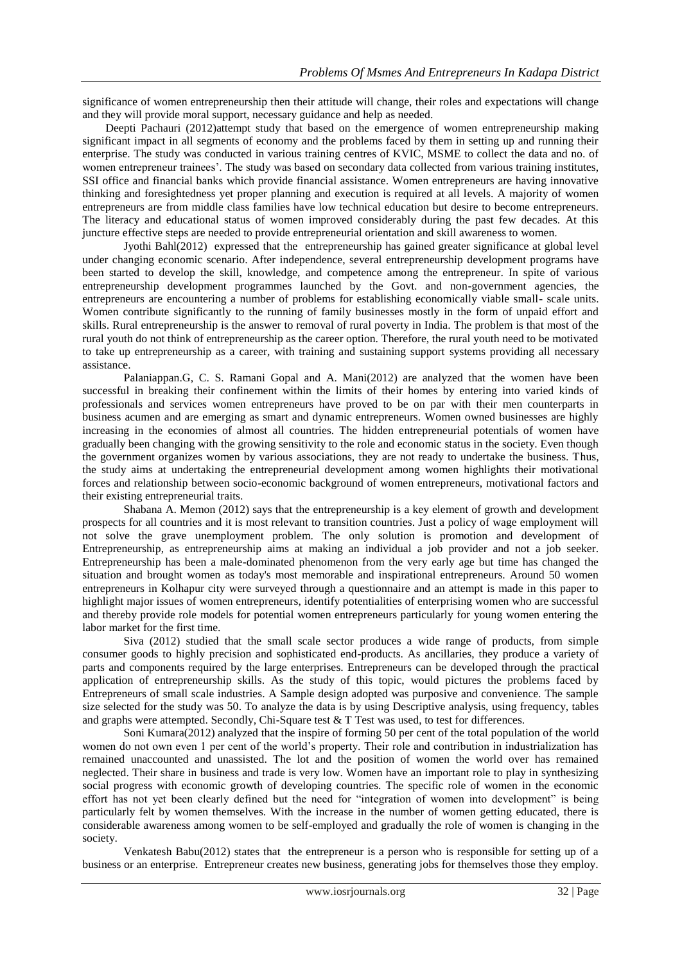significance of women entrepreneurship then their attitude will change, their roles and expectations will change and they will provide moral support, necessary guidance and help as needed.

 Deepti Pachauri (2012)attempt study that based on the emergence of women entrepreneurship making significant impact in all segments of economy and the problems faced by them in setting up and running their enterprise. The study was conducted in various training centres of KVIC, MSME to collect the data and no. of women entrepreneur trainees'. The study was based on secondary data collected from various training institutes, SSI office and financial banks which provide financial assistance. Women entrepreneurs are having innovative thinking and foresightedness yet proper planning and execution is required at all levels. A majority of women entrepreneurs are from middle class families have low technical education but desire to become entrepreneurs. The literacy and educational status of women improved considerably during the past few decades. At this juncture effective steps are needed to provide entrepreneurial orientation and skill awareness to women.

Jyothi Bahl(2012) expressed that the entrepreneurship has gained greater significance at global level under changing economic scenario. After independence, several entrepreneurship development programs have been started to develop the skill, knowledge, and competence among the entrepreneur. In spite of various entrepreneurship development programmes launched by the Govt. and non-government agencies, the entrepreneurs are encountering a number of problems for establishing economically viable small- scale units. Women contribute significantly to the running of family businesses mostly in the form of unpaid effort and skills. Rural entrepreneurship is the answer to removal of rural poverty in India. The problem is that most of the rural youth do not think of entrepreneurship as the career option. Therefore, the rural youth need to be motivated to take up entrepreneurship as a career, with training and sustaining support systems providing all necessary assistance.

Palaniappan.G, C. S. Ramani Gopal and A. Mani(2012) are analyzed that the women have been successful in breaking their confinement within the limits of their homes by entering into varied kinds of professionals and services women entrepreneurs have proved to be on par with their men counterparts in business acumen and are emerging as smart and dynamic entrepreneurs. Women owned businesses are highly increasing in the economies of almost all countries. The hidden entrepreneurial potentials of women have gradually been changing with the growing sensitivity to the role and economic status in the society. Even though the government organizes women by various associations, they are not ready to undertake the business. Thus, the study aims at undertaking the entrepreneurial development among women highlights their motivational forces and relationship between socio-economic background of women entrepreneurs, motivational factors and their existing entrepreneurial traits.

Shabana A. Memon (2012) says that the entrepreneurship is a key element of growth and development prospects for all countries and it is most relevant to transition countries. Just a policy of wage employment will not solve the grave unemployment problem. The only solution is promotion and development of Entrepreneurship, as entrepreneurship aims at making an individual a job provider and not a job seeker. Entrepreneurship has been a male-dominated phenomenon from the very early age but time has changed the situation and brought women as today's most memorable and inspirational entrepreneurs. Around 50 women entrepreneurs in Kolhapur city were surveyed through a questionnaire and an attempt is made in this paper to highlight major issues of women entrepreneurs, identify potentialities of enterprising women who are successful and thereby provide role models for potential women entrepreneurs particularly for young women entering the labor market for the first time.

Siva (2012) studied that the small scale sector produces a wide range of products, from simple consumer goods to highly precision and sophisticated end-products. As ancillaries, they produce a variety of parts and components required by the large enterprises. Entrepreneurs can be developed through the practical application of entrepreneurship skills. As the study of this topic, would pictures the problems faced by Entrepreneurs of small scale industries. A Sample design adopted was purposive and convenience. The sample size selected for the study was 50. To analyze the data is by using Descriptive analysis, using frequency, tables and graphs were attempted. Secondly, Chi-Square test & T Test was used, to test for differences.

Soni Kumara(2012) analyzed that the inspire of forming 50 per cent of the total population of the world women do not own even 1 per cent of the world's property. Their role and contribution in industrialization has remained unaccounted and unassisted. The lot and the position of women the world over has remained neglected. Their share in business and trade is very low. Women have an important role to play in synthesizing social progress with economic growth of developing countries. The specific role of women in the economic effort has not yet been clearly defined but the need for "integration of women into development" is being particularly felt by women themselves. With the increase in the number of women getting educated, there is considerable awareness among women to be self-employed and gradually the role of women is changing in the society.

Venkatesh Babu(2012) states that the entrepreneur is a person who is responsible for setting up of a business or an enterprise. Entrepreneur creates new business, generating jobs for themselves those they employ.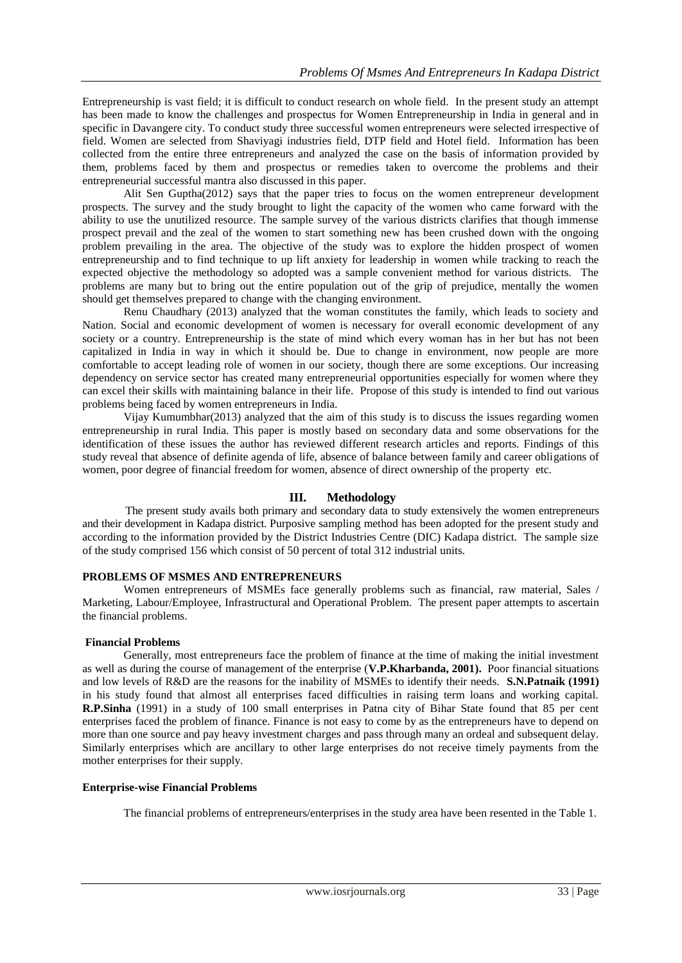Entrepreneurship is vast field; it is difficult to conduct research on whole field. In the present study an attempt has been made to know the challenges and prospectus for Women Entrepreneurship in India in general and in specific in Davangere city. To conduct study three successful women entrepreneurs were selected irrespective of field. Women are selected from Shaviyagi industries field, DTP field and Hotel field. Information has been collected from the entire three entrepreneurs and analyzed the case on the basis of information provided by them, problems faced by them and prospectus or remedies taken to overcome the problems and their entrepreneurial successful mantra also discussed in this paper.

Alit Sen Guptha(2012) says that the paper tries to focus on the women entrepreneur development prospects. The survey and the study brought to light the capacity of the women who came forward with the ability to use the unutilized resource. The sample survey of the various districts clarifies that though immense prospect prevail and the zeal of the women to start something new has been crushed down with the ongoing problem prevailing in the area. The objective of the study was to explore the hidden prospect of women entrepreneurship and to find technique to up lift anxiety for leadership in women while tracking to reach the expected objective the methodology so adopted was a sample convenient method for various districts. The problems are many but to bring out the entire population out of the grip of prejudice, mentally the women should get themselves prepared to change with the changing environment.

Renu Chaudhary (2013) analyzed that the woman constitutes the family, which leads to society and Nation. Social and economic development of women is necessary for overall economic development of any society or a country. Entrepreneurship is the state of mind which every woman has in her but has not been capitalized in India in way in which it should be. Due to change in environment, now people are more comfortable to accept leading role of women in our society, though there are some exceptions. Our increasing dependency on service sector has created many entrepreneurial opportunities especially for women where they can excel their skills with maintaining balance in their life. Propose of this study is intended to find out various problems being faced by women entrepreneurs in India.

Vijay Kumumbhar(2013) analyzed that the aim of this study is to discuss the issues regarding women entrepreneurship in rural India. This paper is mostly based on secondary data and some observations for the identification of these issues the author has reviewed different research articles and reports. Findings of this study reveal that absence of definite agenda of life, absence of balance between family and career obligations of women, poor degree of financial freedom for women, absence of direct ownership of the property etc.

## **III. Methodology**

The present study avails both primary and secondary data to study extensively the women entrepreneurs and their development in Kadapa district. Purposive sampling method has been adopted for the present study and according to the information provided by the District Industries Centre (DIC) Kadapa district. The sample size of the study comprised 156 which consist of 50 percent of total 312 industrial units.

## **PROBLEMS OF MSMES AND ENTREPRENEURS**

Women entrepreneurs of MSMEs face generally problems such as financial, raw material, Sales / Marketing, Labour/Employee, Infrastructural and Operational Problem. The present paper attempts to ascertain the financial problems.

## **Financial Problems**

Generally, most entrepreneurs face the problem of finance at the time of making the initial investment as well as during the course of management of the enterprise (**V.P.Kharbanda, 2001).** Poor financial situations and low levels of R&D are the reasons for the inability of MSMEs to identify their needs. **S.N.Patnaik (1991)** in his study found that almost all enterprises faced difficulties in raising term loans and working capital. **R.P.Sinha** (1991) in a study of 100 small enterprises in Patna city of Bihar State found that 85 per cent enterprises faced the problem of finance. Finance is not easy to come by as the entrepreneurs have to depend on more than one source and pay heavy investment charges and pass through many an ordeal and subsequent delay. Similarly enterprises which are ancillary to other large enterprises do not receive timely payments from the mother enterprises for their supply.

#### **Enterprise-wise Financial Problems**

The financial problems of entrepreneurs/enterprises in the study area have been resented in the Table 1.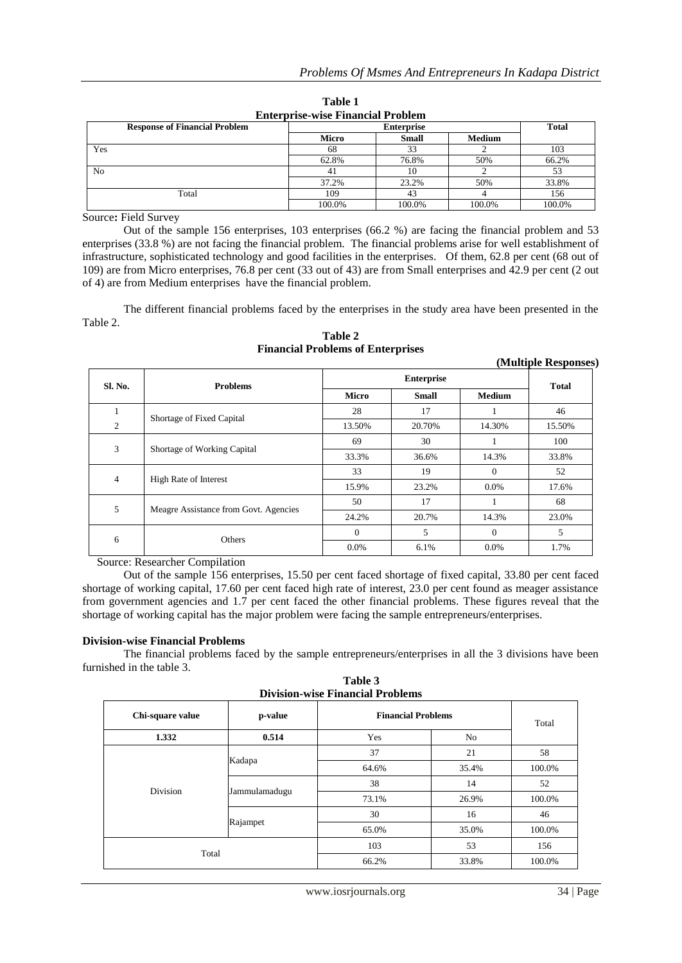| <b>Enterprise</b> which intended I robidili |        |              |               |        |  |  |
|---------------------------------------------|--------|--------------|---------------|--------|--|--|
| <b>Response of Financial Problem</b>        |        | <b>Total</b> |               |        |  |  |
|                                             | Micro  | <b>Small</b> | <b>Medium</b> |        |  |  |
| Yes                                         | 68     | 33           |               | 103    |  |  |
|                                             | 62.8%  | 76.8%        | 50%           | 66.2%  |  |  |
| N <sub>0</sub>                              | 41     | 10           |               | 53     |  |  |
|                                             | 37.2%  | 23.2%        | 50%           | 33.8%  |  |  |
| Total                                       | 109    | 43           |               | 156    |  |  |
|                                             | 100.0% | 100.0%       | 100.0%        | 100.0% |  |  |

**Table 1 Enterprise-wise Financial Problem**

Source**:** Field Survey

Out of the sample 156 enterprises, 103 enterprises (66.2 %) are facing the financial problem and 53 enterprises (33.8 %) are not facing the financial problem. The financial problems arise for well establishment of infrastructure, sophisticated technology and good facilities in the enterprises. Of them, 62.8 per cent (68 out of 109) are from Micro enterprises, 76.8 per cent (33 out of 43) are from Small enterprises and 42.9 per cent (2 out of 4) are from Medium enterprises have the financial problem.

The different financial problems faced by the enterprises in the study area have been presented in the Table 2.

| (Multiple Responses)                       |                           |              |              |               |        |  |
|--------------------------------------------|---------------------------|--------------|--------------|---------------|--------|--|
| <b>Sl. No.</b>                             | <b>Problems</b>           |              | <b>Total</b> |               |        |  |
|                                            |                           | <b>Micro</b> | <b>Small</b> | <b>Medium</b> |        |  |
|                                            |                           | 28           | 17           |               | 46     |  |
| $\overline{2}$                             | Shortage of Fixed Capital | 13.50%       | 20.70%       | 14.30%        | 15.50% |  |
| 3<br>Shortage of Working Capital           |                           | 69           | 30           | 1             | 100    |  |
|                                            |                           | 33.3%        | 36.6%        | 14.3%         | 33.8%  |  |
| 4<br>High Rate of Interest                 |                           | 33           | 19           | $\Omega$      | 52     |  |
|                                            |                           | 15.9%        | 23.2%        | $0.0\%$       | 17.6%  |  |
| 5<br>Meagre Assistance from Govt. Agencies |                           | 50           | 17           |               | 68     |  |
|                                            |                           | 24.2%        | 20.7%        | 14.3%         | 23.0%  |  |
| 6                                          |                           | $\Omega$     | 5            | $\Omega$      | 5      |  |
|                                            | Others                    | 0.0%         | 6.1%         | 0.0%          | 1.7%   |  |

**Table 2 Financial Problems of Enterprises**

Source: Researcher Compilation

Out of the sample 156 enterprises, 15.50 per cent faced shortage of fixed capital, 33.80 per cent faced shortage of working capital, 17.60 per cent faced high rate of interest, 23.0 per cent found as meager assistance from government agencies and 1.7 per cent faced the other financial problems. These figures reveal that the shortage of working capital has the major problem were facing the sample entrepreneurs/enterprises.

## **Division-wise Financial Problems**

The financial problems faced by the sample entrepreneurs/enterprises in all the 3 divisions have been furnished in the table 3.

| $\cdots\cdots$<br><b>Division-wise Financial Problems</b> |               |                           |       |        |  |  |
|-----------------------------------------------------------|---------------|---------------------------|-------|--------|--|--|
| Chi-square value                                          | p-value       | <b>Financial Problems</b> | Total |        |  |  |
| 1.332                                                     | 0.514         | Yes                       | No    |        |  |  |
|                                                           |               | 37                        | 21    | 58     |  |  |
| Division                                                  | Kadapa        | 64.6%                     | 35.4% | 100.0% |  |  |
|                                                           |               | 38                        | 14    | 52     |  |  |
|                                                           | Jammulamadugu | 73.1%                     | 26.9% | 100.0% |  |  |
|                                                           |               | 30                        | 16    | 46     |  |  |
|                                                           | Rajampet      | 65.0%                     | 35.0% | 100.0% |  |  |
| Total                                                     |               | 103                       | 53    | 156    |  |  |
|                                                           |               | 66.2%                     | 33.8% | 100.0% |  |  |

**Table 3**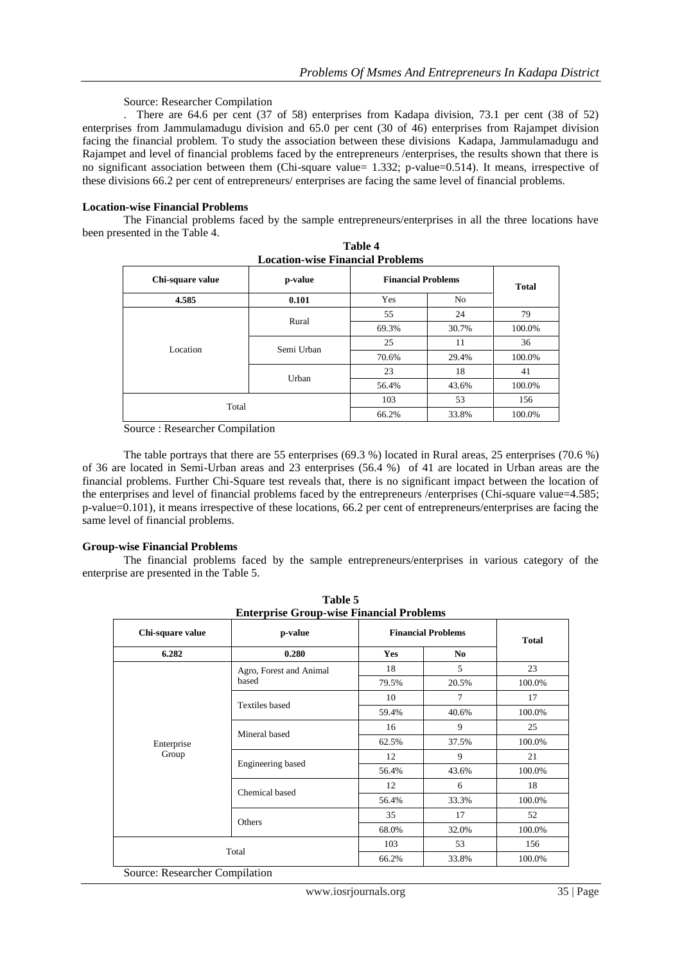## Source: Researcher Compilation

. There are 64.6 per cent (37 of 58) enterprises from Kadapa division, 73.1 per cent (38 of 52) enterprises from Jammulamadugu division and 65.0 per cent (30 of 46) enterprises from Rajampet division facing the financial problem. To study the association between these divisions Kadapa, Jammulamadugu and Rajampet and level of financial problems faced by the entrepreneurs /enterprises, the results shown that there is no significant association between them (Chi-square value= 1.332; p-value=0.514). It means, irrespective of these divisions 66.2 per cent of entrepreneurs/ enterprises are facing the same level of financial problems.

#### **Location-wise Financial Problems**

The Financial problems faced by the sample entrepreneurs/enterprises in all the three locations have been presented in the Table 4.

**Table 4**

| <b>Location-wise Financial Problems</b> |            |       |                           |        |  |  |
|-----------------------------------------|------------|-------|---------------------------|--------|--|--|
| Chi-square value                        | p-value    |       | <b>Financial Problems</b> |        |  |  |
| 4.585                                   | 0.101      | Yes   | N <sub>0</sub>            |        |  |  |
|                                         | Rural      | 55    | 24                        | 79     |  |  |
| Location                                |            | 69.3% | 30.7%                     | 100.0% |  |  |
|                                         | Semi Urban | 25    | 11                        | 36     |  |  |
|                                         |            | 70.6% | 29.4%                     | 100.0% |  |  |
|                                         | Urban      | 23    | 18                        | 41     |  |  |
|                                         |            | 56.4% | 43.6%                     | 100.0% |  |  |
| Total                                   |            | 103   | 53                        | 156    |  |  |
|                                         |            | 66.2% | 33.8%                     | 100.0% |  |  |

|  |  | Source: Researcher Compilation |  |  |
|--|--|--------------------------------|--|--|
|--|--|--------------------------------|--|--|

The table portrays that there are 55 enterprises (69.3 %) located in Rural areas, 25 enterprises (70.6 %) of 36 are located in Semi-Urban areas and 23 enterprises (56.4 %) of 41 are located in Urban areas are the financial problems. Further Chi-Square test reveals that, there is no significant impact between the location of the enterprises and level of financial problems faced by the entrepreneurs /enterprises (Chi-square value=4.585; p-value=0.101), it means irrespective of these locations, 66.2 per cent of entrepreneurs/enterprises are facing the same level of financial problems.

#### **Group-wise Financial Problems**

The financial problems faced by the sample entrepreneurs/enterprises in various category of the enterprise are presented in the Table 5.

**Table 5**

| <b>Enterprise Group-wise Financial Problems</b> |                         |                           |                |        |  |
|-------------------------------------------------|-------------------------|---------------------------|----------------|--------|--|
| Chi-square value                                | p-value<br>0.280        | <b>Financial Problems</b> | <b>Total</b>   |        |  |
| 6.282                                           |                         | Yes                       | N <sub>0</sub> |        |  |
|                                                 | Agro, Forest and Animal | 18                        | 5              | 23     |  |
|                                                 | based                   | 79.5%                     | 20.5%          | 100.0% |  |
| Enterprise<br>Group                             |                         | 10                        | 7              | 17     |  |
|                                                 | <b>Textiles</b> based   | 59.4%                     | 40.6%          | 100.0% |  |
|                                                 |                         | 16                        | 9              | 25     |  |
|                                                 | Mineral based           | 62.5%                     | 37.5%          | 100.0% |  |
|                                                 |                         | 12                        | 9              | 21     |  |
|                                                 | Engineering based       | 56.4%                     | 43.6%          | 100.0% |  |
|                                                 | Chemical based          | 12                        | 6              | 18     |  |
|                                                 |                         | 56.4%                     | 33.3%          | 100.0% |  |
|                                                 |                         | 35                        | 17             | 52     |  |
|                                                 | Others                  | 68.0%                     | 32.0%          | 100.0% |  |
| Total                                           |                         | 103                       | 53             | 156    |  |
|                                                 |                         | 66.2%                     | 33.8%          | 100.0% |  |

Source: Researcher Compilation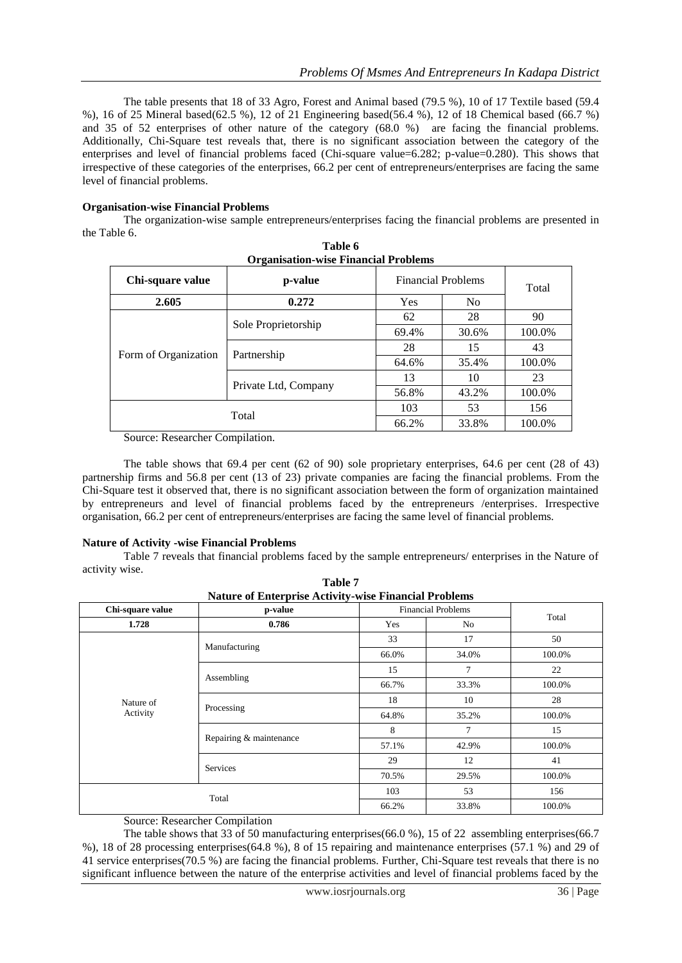The table presents that 18 of 33 Agro, Forest and Animal based (79.5 %), 10 of 17 Textile based (59.4 %), 16 of 25 Mineral based(62.5 %), 12 of 21 Engineering based(56.4 %), 12 of 18 Chemical based (66.7 %) and 35 of 52 enterprises of other nature of the category (68.0 %) are facing the financial problems. Additionally, Chi-Square test reveals that, there is no significant association between the category of the enterprises and level of financial problems faced (Chi-square value=6.282; p-value=0.280). This shows that irrespective of these categories of the enterprises, 66.2 per cent of entrepreneurs/enterprises are facing the same level of financial problems.

## **Organisation-wise Financial Problems**

The organization-wise sample entrepreneurs/enterprises facing the financial problems are presented in the Table 6. **Table 6** 

| <b>Organisation-wise Financial Problems</b> |                      |                           |                |        |  |  |
|---------------------------------------------|----------------------|---------------------------|----------------|--------|--|--|
| Chi-square value                            | p-value              | <b>Financial Problems</b> |                | Total  |  |  |
| 2.605                                       | 0.272                | Yes                       | N <sub>o</sub> |        |  |  |
| Form of Organization                        |                      | 62                        | 28             | 90     |  |  |
|                                             | Sole Proprietorship  | 69.4%                     | 30.6%          | 100.0% |  |  |
|                                             |                      | 28                        | 15             | 43     |  |  |
|                                             | Partnership          | 64.6%                     | 35.4%          | 100.0% |  |  |
|                                             | Private Ltd, Company | 13                        | 10             | 23     |  |  |
|                                             |                      | 56.8%                     | 43.2%          | 100.0% |  |  |
| Total                                       |                      | 103                       | 53             | 156    |  |  |
|                                             |                      | 66.2%                     | 33.8%          | 100.0% |  |  |

Source: Researcher Compilation.

The table shows that 69.4 per cent (62 of 90) sole proprietary enterprises, 64.6 per cent (28 of 43) partnership firms and 56.8 per cent (13 of 23) private companies are facing the financial problems. From the Chi-Square test it observed that, there is no significant association between the form of organization maintained by entrepreneurs and level of financial problems faced by the entrepreneurs /enterprises. Irrespective organisation, 66.2 per cent of entrepreneurs/enterprises are facing the same level of financial problems.

#### **Nature of Activity -wise Financial Problems**

Table 7 reveals that financial problems faced by the sample entrepreneurs/ enterprises in the Nature of activity wise.

| <b>Nature of Enterprise Activity-wise Financial Problems</b> |                         |       |                           |        |  |
|--------------------------------------------------------------|-------------------------|-------|---------------------------|--------|--|
| Chi-square value                                             | p-value                 |       | <b>Financial Problems</b> |        |  |
| 1.728                                                        | 0.786                   | Yes   | N <sub>0</sub>            | Total  |  |
|                                                              |                         | 33    | 17                        | 50     |  |
|                                                              | Manufacturing           | 66.0% | 34.0%                     | 100.0% |  |
|                                                              |                         | 15    | 7                         | 22     |  |
|                                                              | Assembling              | 66.7% | 33.3%                     | 100.0% |  |
| Nature of                                                    |                         | 18    | 10                        | 28     |  |
| Activity                                                     | Processing              | 64.8% | 35.2%                     | 100.0% |  |
|                                                              |                         | 8     | 7                         | 15     |  |
|                                                              | Repairing & maintenance | 57.1% | 42.9%                     | 100.0% |  |
|                                                              |                         | 29    | 12                        | 41     |  |
|                                                              | <b>Services</b>         | 70.5% | 29.5%                     | 100.0% |  |
| Total                                                        |                         | 103   | 53                        | 156    |  |
|                                                              |                         | 66.2% | 33.8%                     | 100.0% |  |

**Table 7**

Source: Researcher Compilation

The table shows that 33 of 50 manufacturing enterprises(66.0 %), 15 of 22 assembling enterprises(66.7 %), 18 of 28 processing enterprises(64.8 %), 8 of 15 repairing and maintenance enterprises (57.1 %) and 29 of 41 service enterprises(70.5 %) are facing the financial problems. Further, Chi-Square test reveals that there is no significant influence between the nature of the enterprise activities and level of financial problems faced by the